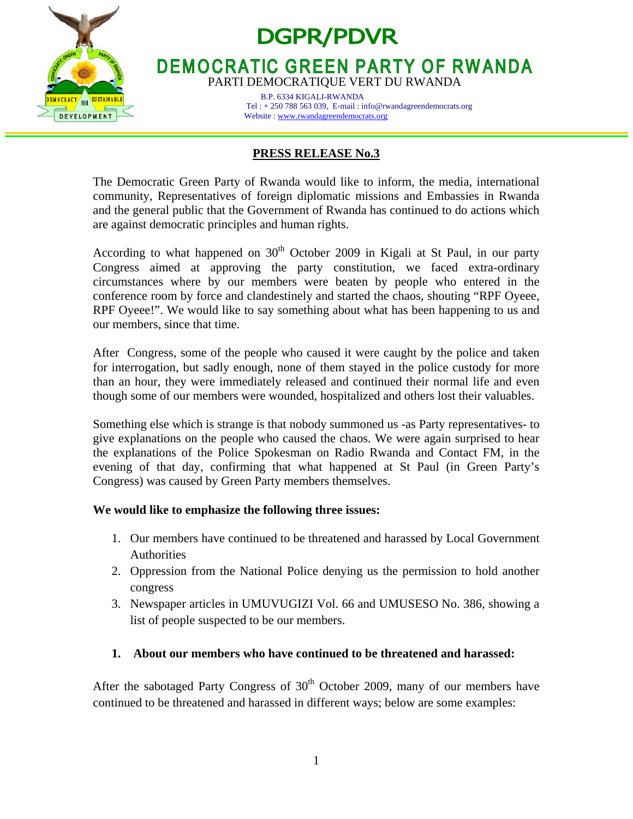

# **DGPR/PDVR**

**DEMOCRATIC GREEN PARTY OF RWANDA** PARTI DEMOCRATIQUE VERT DU RWANDA

> B.P. 6334 KIGALI-RWANDA Tel : + 250 788 563 039, E-mail : info@rwandagreendemocrats.org Website : www.rwandagreendemocrats.org

# **PRESS RELEASE No.3**

The Democratic Green Party of Rwanda would like to inform, the media, international community, Representatives of foreign diplomatic missions and Embassies in Rwanda and the general public that the Government of Rwanda has continued to do actions which are against democratic principles and human rights.

According to what happened on  $30<sup>th</sup>$  October 2009 in Kigali at St Paul, in our party Congress aimed at approving the party constitution, we faced extra-ordinary circumstances where by our members were beaten by people who entered in the conference room by force and clandestinely and started the chaos, shouting "RPF Oyeee, RPF Oyeee!". We would like to say something about what has been happening to us and our members, since that time.

After Congress, some of the people who caused it were caught by the police and taken for interrogation, but sadly enough, none of them stayed in the police custody for more than an hour, they were immediately released and continued their normal life and even though some of our members were wounded, hospitalized and others lost their valuables.

Something else which is strange is that nobody summoned us -as Party representatives- to give explanations on the people who caused the chaos. We were again surprised to hear the explanations of the Police Spokesman on Radio Rwanda and Contact FM, in the evening of that day, confirming that what happened at St Paul (in Green Party's Congress) was caused by Green Party members themselves.

# **We would like to emphasize the following three issues:**

- 1. Our members have continued to be threatened and harassed by Local Government Authorities
- 2. Oppression from the National Police denying us the permission to hold another congress
- 3. Newspaper articles in UMUVUGIZI Vol. 66 and UMUSESO No. 386, showing a list of people suspected to be our members.

# **1. About our members who have continued to be threatened and harassed:**

After the sabotaged Party Congress of  $30<sup>th</sup>$  October 2009, many of our members have continued to be threatened and harassed in different ways; below are some examples: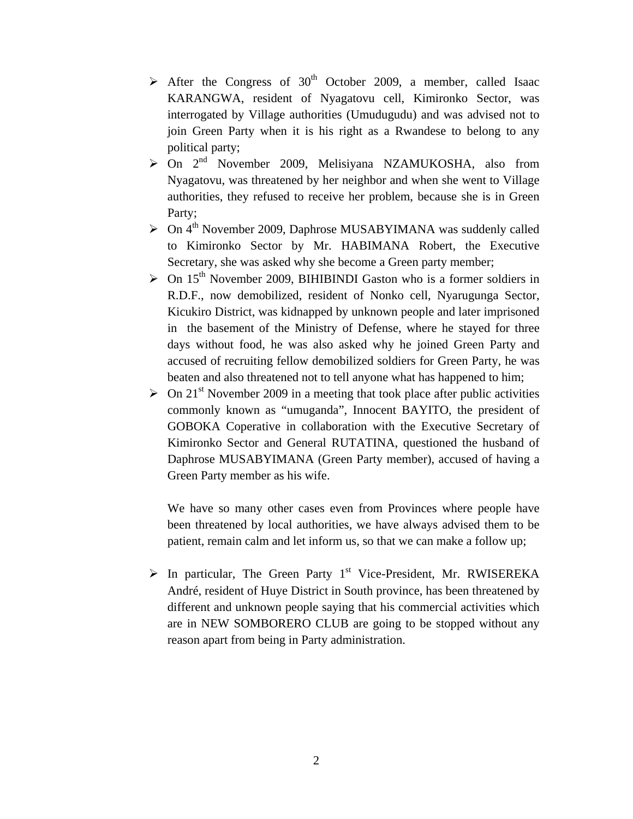- $\geq$  After the Congress of 30<sup>th</sup> October 2009, a member, called Isaac KARANGWA, resident of Nyagatovu cell, Kimironko Sector, was interrogated by Village authorities (Umudugudu) and was advised not to join Green Party when it is his right as a Rwandese to belong to any political party;
- $\triangleright$  On  $2^{nd}$  November 2009, Melisiyana NZAMUKOSHA, also from Nyagatovu, was threatened by her neighbor and when she went to Village authorities, they refused to receive her problem, because she is in Green Party;
- $\geq$  On 4<sup>th</sup> November 2009, Daphrose MUSABYIMANA was suddenly called to Kimironko Sector by Mr. HABIMANA Robert, the Executive Secretary, she was asked why she become a Green party member;
- $\geq$  On 15<sup>th</sup> November 2009, BIHIBINDI Gaston who is a former soldiers in R.D.F., now demobilized, resident of Nonko cell, Nyarugunga Sector, Kicukiro District, was kidnapped by unknown people and later imprisoned in the basement of the Ministry of Defense, where he stayed for three days without food, he was also asked why he joined Green Party and accused of recruiting fellow demobilized soldiers for Green Party, he was beaten and also threatened not to tell anyone what has happened to him;
- $\geq$  On 21<sup>st</sup> November 2009 in a meeting that took place after public activities commonly known as "umuganda", Innocent BAYITO, the president of GOBOKA Coperative in collaboration with the Executive Secretary of Kimironko Sector and General RUTATINA, questioned the husband of Daphrose MUSABYIMANA (Green Party member), accused of having a Green Party member as his wife.

We have so many other cases even from Provinces where people have been threatened by local authorities, we have always advised them to be patient, remain calm and let inform us, so that we can make a follow up;

 $\triangleright$  In particular, The Green Party 1<sup>st</sup> Vice-President, Mr. RWISEREKA André, resident of Huye District in South province, has been threatened by different and unknown people saying that his commercial activities which are in NEW SOMBORERO CLUB are going to be stopped without any reason apart from being in Party administration.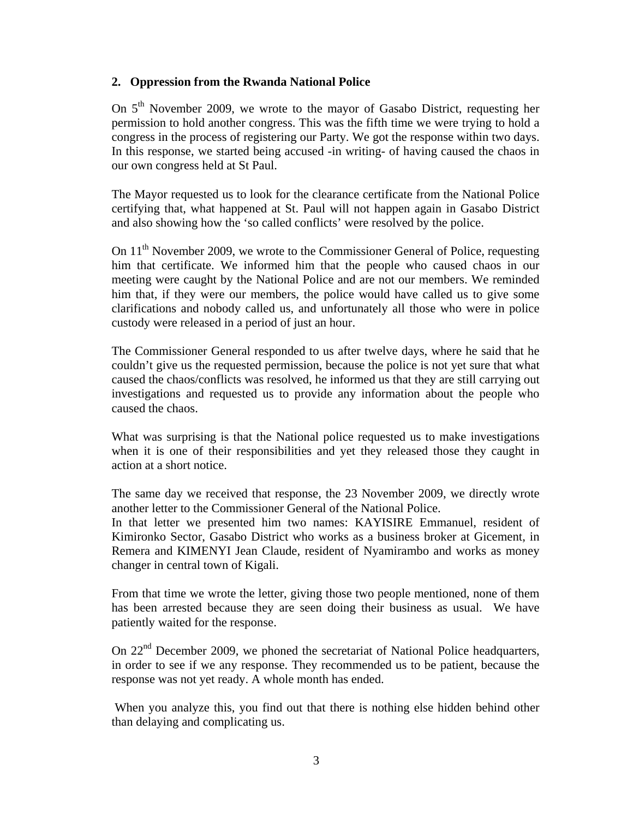#### **2. Oppression from the Rwanda National Police**

On 5<sup>th</sup> November 2009, we wrote to the mayor of Gasabo District, requesting her permission to hold another congress. This was the fifth time we were trying to hold a congress in the process of registering our Party. We got the response within two days. In this response, we started being accused -in writing- of having caused the chaos in our own congress held at St Paul.

The Mayor requested us to look for the clearance certificate from the National Police certifying that, what happened at St. Paul will not happen again in Gasabo District and also showing how the 'so called conflicts' were resolved by the police.

On 11<sup>th</sup> November 2009, we wrote to the Commissioner General of Police, requesting him that certificate. We informed him that the people who caused chaos in our meeting were caught by the National Police and are not our members. We reminded him that, if they were our members, the police would have called us to give some clarifications and nobody called us, and unfortunately all those who were in police custody were released in a period of just an hour.

The Commissioner General responded to us after twelve days, where he said that he couldn't give us the requested permission, because the police is not yet sure that what caused the chaos/conflicts was resolved, he informed us that they are still carrying out investigations and requested us to provide any information about the people who caused the chaos.

What was surprising is that the National police requested us to make investigations when it is one of their responsibilities and yet they released those they caught in action at a short notice.

The same day we received that response, the 23 November 2009, we directly wrote another letter to the Commissioner General of the National Police.

In that letter we presented him two names: KAYISIRE Emmanuel, resident of Kimironko Sector, Gasabo District who works as a business broker at Gicement, in Remera and KIMENYI Jean Claude, resident of Nyamirambo and works as money changer in central town of Kigali.

From that time we wrote the letter, giving those two people mentioned, none of them has been arrested because they are seen doing their business as usual. We have patiently waited for the response.

On 22<sup>nd</sup> December 2009, we phoned the secretariat of National Police headquarters, in order to see if we any response. They recommended us to be patient, because the response was not yet ready. A whole month has ended.

 When you analyze this, you find out that there is nothing else hidden behind other than delaying and complicating us.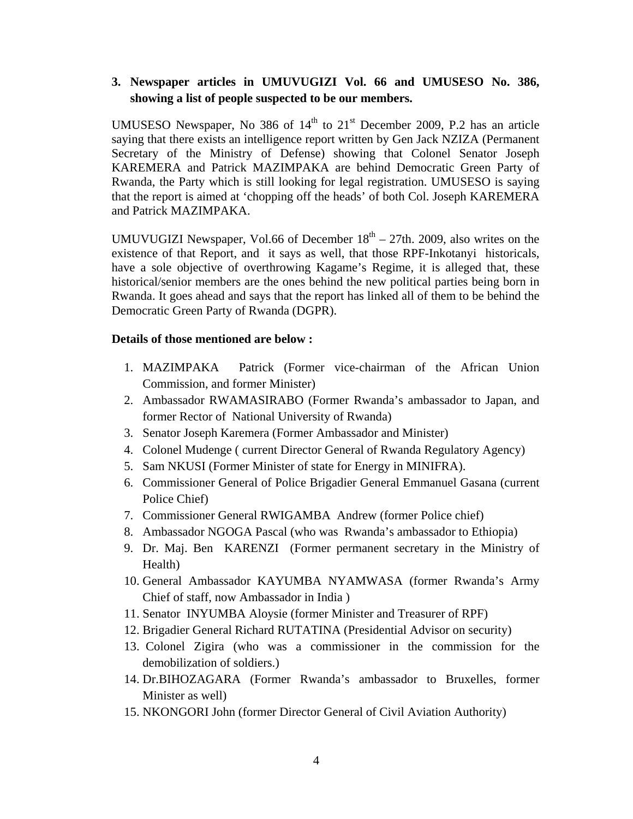# **3. Newspaper articles in UMUVUGIZI Vol. 66 and UMUSESO No. 386, showing a list of people suspected to be our members.**

UMUSESO Newspaper, No 386 of  $14<sup>th</sup>$  to  $21<sup>st</sup>$  December 2009, P.2 has an article saying that there exists an intelligence report written by Gen Jack NZIZA (Permanent Secretary of the Ministry of Defense) showing that Colonel Senator Joseph KAREMERA and Patrick MAZIMPAKA are behind Democratic Green Party of Rwanda, the Party which is still looking for legal registration. UMUSESO is saying that the report is aimed at 'chopping off the heads' of both Col. Joseph KAREMERA and Patrick MAZIMPAKA.

UMUVUGIZI Newspaper, Vol.66 of December  $18<sup>th</sup> - 27th$ . 2009, also writes on the existence of that Report, and it says as well, that those RPF-Inkotanyi historicals, have a sole objective of overthrowing Kagame's Regime, it is alleged that, these historical/senior members are the ones behind the new political parties being born in Rwanda. It goes ahead and says that the report has linked all of them to be behind the Democratic Green Party of Rwanda (DGPR).

#### **Details of those mentioned are below :**

- 1. MAZIMPAKA Patrick (Former vice-chairman of the African Union Commission, and former Minister)
- 2. Ambassador RWAMASIRABO (Former Rwanda's ambassador to Japan, and former Rector of National University of Rwanda)
- 3. Senator Joseph Karemera (Former Ambassador and Minister)
- 4. Colonel Mudenge ( current Director General of Rwanda Regulatory Agency)
- 5. Sam NKUSI (Former Minister of state for Energy in MINIFRA).
- 6. Commissioner General of Police Brigadier General Emmanuel Gasana (current Police Chief)
- 7. Commissioner General RWIGAMBA Andrew (former Police chief)
- 8. Ambassador NGOGA Pascal (who was Rwanda's ambassador to Ethiopia)
- 9. Dr. Maj. Ben KARENZI (Former permanent secretary in the Ministry of Health)
- 10. General Ambassador KAYUMBA NYAMWASA (former Rwanda's Army Chief of staff, now Ambassador in India )
- 11. Senator INYUMBA Aloysie (former Minister and Treasurer of RPF)
- 12. Brigadier General Richard RUTATINA (Presidential Advisor on security)
- 13. Colonel Zigira (who was a commissioner in the commission for the demobilization of soldiers.)
- 14. Dr.BIHOZAGARA (Former Rwanda's ambassador to Bruxelles, former Minister as well)
- 15. NKONGORI John (former Director General of Civil Aviation Authority)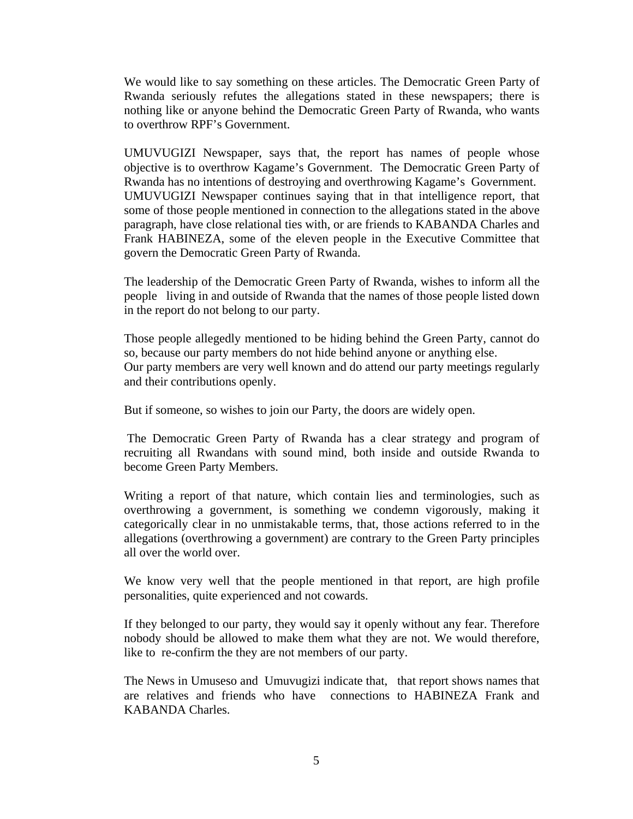We would like to say something on these articles. The Democratic Green Party of Rwanda seriously refutes the allegations stated in these newspapers; there is nothing like or anyone behind the Democratic Green Party of Rwanda, who wants to overthrow RPF's Government.

UMUVUGIZI Newspaper, says that, the report has names of people whose objective is to overthrow Kagame's Government. The Democratic Green Party of Rwanda has no intentions of destroying and overthrowing Kagame's Government. UMUVUGIZI Newspaper continues saying that in that intelligence report, that some of those people mentioned in connection to the allegations stated in the above paragraph, have close relational ties with, or are friends to KABANDA Charles and Frank HABINEZA, some of the eleven people in the Executive Committee that govern the Democratic Green Party of Rwanda.

The leadership of the Democratic Green Party of Rwanda, wishes to inform all the people living in and outside of Rwanda that the names of those people listed down in the report do not belong to our party.

Those people allegedly mentioned to be hiding behind the Green Party, cannot do so, because our party members do not hide behind anyone or anything else. Our party members are very well known and do attend our party meetings regularly and their contributions openly.

But if someone, so wishes to join our Party, the doors are widely open.

 The Democratic Green Party of Rwanda has a clear strategy and program of recruiting all Rwandans with sound mind, both inside and outside Rwanda to become Green Party Members.

Writing a report of that nature, which contain lies and terminologies, such as overthrowing a government, is something we condemn vigorously, making it categorically clear in no unmistakable terms, that, those actions referred to in the allegations (overthrowing a government) are contrary to the Green Party principles all over the world over.

We know very well that the people mentioned in that report, are high profile personalities, quite experienced and not cowards.

If they belonged to our party, they would say it openly without any fear. Therefore nobody should be allowed to make them what they are not. We would therefore, like to re-confirm the they are not members of our party.

The News in Umuseso and Umuvugizi indicate that, that report shows names that are relatives and friends who have connections to HABINEZA Frank and KABANDA Charles.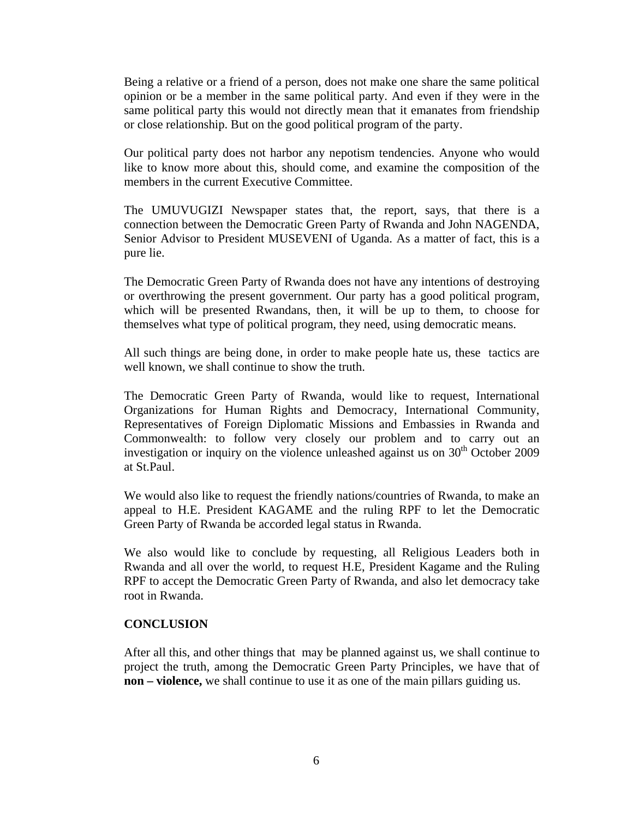Being a relative or a friend of a person, does not make one share the same political opinion or be a member in the same political party. And even if they were in the same political party this would not directly mean that it emanates from friendship or close relationship. But on the good political program of the party.

Our political party does not harbor any nepotism tendencies. Anyone who would like to know more about this, should come, and examine the composition of the members in the current Executive Committee.

The UMUVUGIZI Newspaper states that, the report, says, that there is a connection between the Democratic Green Party of Rwanda and John NAGENDA, Senior Advisor to President MUSEVENI of Uganda. As a matter of fact, this is a pure lie.

The Democratic Green Party of Rwanda does not have any intentions of destroying or overthrowing the present government. Our party has a good political program, which will be presented Rwandans, then, it will be up to them, to choose for themselves what type of political program, they need, using democratic means.

All such things are being done, in order to make people hate us, these tactics are well known, we shall continue to show the truth.

The Democratic Green Party of Rwanda, would like to request, International Organizations for Human Rights and Democracy, International Community, Representatives of Foreign Diplomatic Missions and Embassies in Rwanda and Commonwealth: to follow very closely our problem and to carry out an investigation or inquiry on the violence unleashed against us on  $30<sup>th</sup>$  October 2009 at St.Paul.

We would also like to request the friendly nations/countries of Rwanda, to make an appeal to H.E. President KAGAME and the ruling RPF to let the Democratic Green Party of Rwanda be accorded legal status in Rwanda.

We also would like to conclude by requesting, all Religious Leaders both in Rwanda and all over the world, to request H.E, President Kagame and the Ruling RPF to accept the Democratic Green Party of Rwanda, and also let democracy take root in Rwanda.

#### **CONCLUSION**

After all this, and other things that may be planned against us, we shall continue to project the truth, among the Democratic Green Party Principles, we have that of **non – violence,** we shall continue to use it as one of the main pillars guiding us.